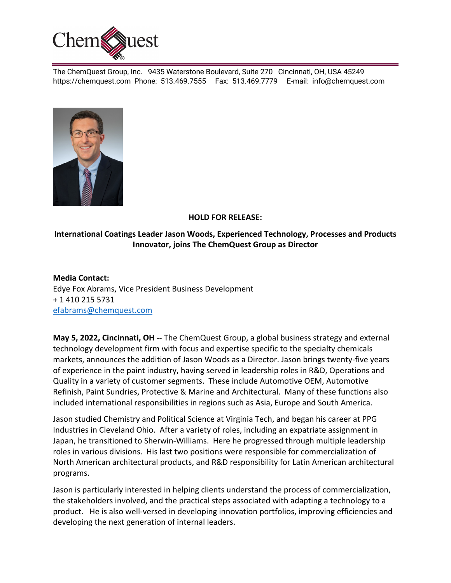

The ChemQuest Group, Inc. 9435 Waterstone Boulevard, Suite 270 Cincinnati, OH, USA 45249 https://chemquest.com Phone: 513.469.7555 Fax: 513.469.7779 E-mail: info@chemquest.com



## **HOLD FOR RELEASE:**

## **International Coatings Leader Jason Woods, Experienced Technology, Processes and Products Innovator, joins The ChemQuest Group as Director**

**Media Contact:** Edye Fox Abrams, Vice President Business Development + 1 410 215 5731 efabrams@chemquest.com

**May 5, 2022, Cincinnati, OH --** The ChemQuest Group, a global business strategy and external technology development firm with focus and expertise specific to the specialty chemicals markets, announces the addition of Jason Woods as a Director. Jason brings twenty-five years of experience in the paint industry, having served in leadership roles in R&D, Operations and Quality in a variety of customer segments. These include Automotive OEM, Automotive Refinish, Paint Sundries, Protective & Marine and Architectural. Many of these functions also included international responsibilities in regions such as Asia, Europe and South America.

Jason studied Chemistry and Political Science at Virginia Tech, and began his career at PPG Industries in Cleveland Ohio. After a variety of roles, including an expatriate assignment in Japan, he transitioned to Sherwin-Williams. Here he progressed through multiple leadership roles in various divisions. His last two positions were responsible for commercialization of North American architectural products, and R&D responsibility for Latin American architectural programs.

Jason is particularly interested in helping clients understand the process of commercialization, the stakeholders involved, and the practical steps associated with adapting a technology to a product. He is also well-versed in developing innovation portfolios, improving efficiencies and developing the next generation of internal leaders.